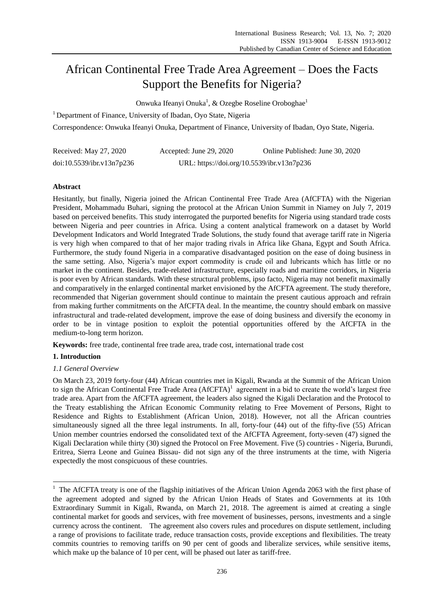# African Continental Free Trade Area Agreement – Does the Facts Support the Benefits for Nigeria?

Onwuka Ifeanyi Onuka<sup>1</sup>, & Ozegbe Roseline Oroboghae<sup>1</sup>

<sup>1</sup> Department of Finance, University of Ibadan, Oyo State, Nigeria

Correspondence: Onwuka Ifeanyi Onuka, Department of Finance, University of Ibadan, Oyo State, Nigeria.

| Received: May 27, 2020    | Accepted: June 29, 2020                    | Online Published: June 30, 2020 |
|---------------------------|--------------------------------------------|---------------------------------|
| doi:10.5539/ibr.v13n7p236 | URL: https://doi.org/10.5539/ibr.v13n7p236 |                                 |

# **Abstract**

Hesitantly, but finally, Nigeria joined the African Continental Free Trade Area (AfCFTA) with the Nigerian President, Mohammadu Buhari, signing the protocol at the African Union Summit in Niamey on July 7, 2019 based on perceived benefits. This study interrogated the purported benefits for Nigeria using standard trade costs between Nigeria and peer countries in Africa. Using a content analytical framework on a dataset by World Development Indicators and World Integrated Trade Solutions, the study found that average tariff rate in Nigeria is very high when compared to that of her major trading rivals in Africa like Ghana, Egypt and South Africa. Furthermore, the study found Nigeria in a comparative disadvantaged position on the ease of doing business in the same setting. Also, Nigeria"s major export commodity is crude oil and lubricants which has little or no market in the continent. Besides, trade-related infrastructure, especially roads and maritime corridors, in Nigeria is poor even by African standards. With these structural problems, ipso facto, Nigeria may not benefit maximally and comparatively in the enlarged continental market envisioned by the AfCFTA agreement. The study therefore, recommended that Nigerian government should continue to maintain the present cautious approach and refrain from making further commitments on the AfCFTA deal. In the meantime, the country should embark on massive infrastructural and trade-related development, improve the ease of doing business and diversify the economy in order to be in vintage position to exploit the potential opportunities offered by the AfCFTA in the medium-to-long term horizon.

**Keywords:** free trade, continental free trade area, trade cost, international trade cost

# **1. Introduction**

-

# *1.1 General Overview*

On March 23, 2019 forty-four (44) African countries met in Kigali, Rwanda at the Summit of the African Union to sign the African Continental Free Trade Area  $(AfCFTA)^{1}$  agreement in a bid to create the world's largest free trade area. Apart from the AfCFTA agreement, the leaders also signed the Kigali Declaration and the Protocol to the Treaty establishing the African Economic Community relating to Free Movement of Persons, Right to Residence and Rights to Establishment (African Union, 2018). However, not all the African countries simultaneously signed all the three legal instruments. In all, forty-four (44) out of the fifty-five (55) African Union member countries endorsed the consolidated text of the AfCFTA Agreement, forty-seven (47) signed the Kigali Declaration while thirty (30) signed the Protocol on Free Movement. Five (5) countries - Nigeria, Burundi, Eritrea, Sierra Leone and Guinea Bissau- did not sign any of the three instruments at the time, with Nigeria expectedly the most conspicuous of these countries.

<sup>&</sup>lt;sup>1</sup> The AfCFTA treaty is one of the flagship initiatives of the African Union Agenda 2063 with the first phase of the agreement adopted and signed by the African Union Heads of States and Governments at its 10th Extraordinary Summit in Kigali, Rwanda, on March 21, 2018. The agreement is aimed at creating a single continental market for goods and services, with free movement of businesses, persons, investments and a single currency across the continent. The agreement also covers rules and procedures on dispute settlement, including a range of provisions to facilitate trade, reduce transaction costs, provide exceptions and flexibilities. The treaty commits countries to removing tariffs on 90 per cent of goods and liberalize services, while sensitive items, which make up the balance of 10 per cent, will be phased out later as tariff-free.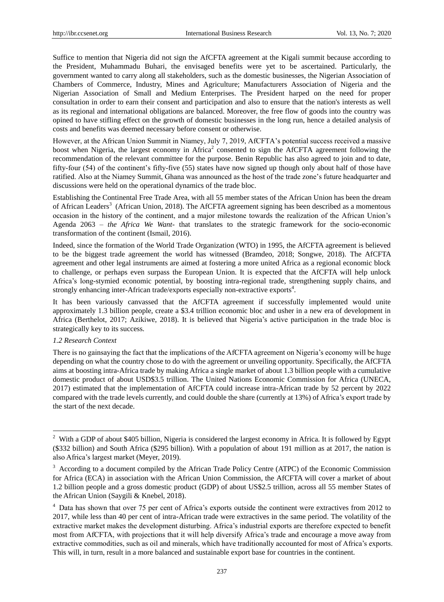Suffice to mention that Nigeria did not sign the AfCFTA agreement at the Kigali summit because according to the President, Muhammadu Buhari, the envisaged benefits were yet to be ascertained. Particularly, the government wanted to carry along all stakeholders, such as the domestic businesses, the Nigerian Association of Chambers of Commerce, Industry, Mines and Agriculture; Manufacturers Association of Nigeria and the Nigerian Association of Small and Medium Enterprises. The President harped on the need for proper consultation in order to earn their consent and participation and also to ensure that the nation's interests as well as its regional and international obligations are balanced. Moreover, the free flow of goods into the country was opined to have stifling effect on the growth of domestic businesses in the long run, hence a detailed analysis of costs and benefits was deemed necessary before consent or otherwise.

However, at the African Union Summit in Niamey, July 7, 2019, AfCFTA"s potential success received a massive boost when Nigeria, the largest economy in Africa<sup>2</sup> consented to sign the AfCFTA agreement following the recommendation of the relevant committee for the purpose. Benin Republic has also agreed to join and to date, fifty-four (54) of the continent"s fifty-five (55) states have now signed up though only about half of those have ratified. Also at the Niamey Summit, Ghana was announced as the host of the trade zone"s future headquarter and discussions were held on the operational dynamics of the trade bloc.

Establishing the Continental Free Trade Area, with all 55 member states of the African Union has been the dream of African Leaders<sup>3</sup> (African Union, 2018). The AfCFTA agreement signing has been described as a momentous occasion in the history of the continent, and a major milestone towards the realization of the African Union"s Agenda 2063 – *the Africa We Want-* that translates to the strategic framework for the socio-economic transformation of the continent (Ismail, 2016).

Indeed, since the formation of the World Trade Organization (WTO) in 1995, the AfCFTA agreement is believed to be the biggest trade agreement the world has witnessed (Bramdeo, 2018; Songwe, 2018). The AfCFTA agreement and other legal instruments are aimed at fostering a more united Africa as a regional economic block to challenge, or perhaps even surpass the European Union. It is expected that the AfCFTA will help unlock Africa"s long-stymied economic potential, by boosting intra-regional trade, strengthening supply chains, and strongly enhancing inter-African trade/exports especially non-extractive exports<sup>4</sup>.

It has been variously canvassed that the AfCFTA agreement if successfully implemented would unite approximately 1.3 billion people, create a \$3.4 trillion economic bloc and usher in a new era of development in Africa (Berthelot, 2017; Azikiwe, 2018). It is believed that Nigeria"s active participation in the trade bloc is strategically key to its success.

## *1.2 Research Context*

-

There is no gainsaying the fact that the implications of the AfCFTA agreement on Nigeria's economy will be huge depending on what the country chose to do with the agreement or unveiling opportunity. Specifically, the AfCFTA aims at boosting intra-Africa trade by making Africa a single market of about 1.3 billion people with a cumulative domestic product of about USD\$3.5 trillion. The United Nations Economic Commission for Africa (UNECA, 2017) estimated that the implementation of AfCFTA could increase intra-African trade by 52 percent by 2022 compared with the trade levels currently, and could double the share (currently at 13%) of Africa"s export trade by the start of the next decade.

<sup>&</sup>lt;sup>2</sup> With a GDP of about \$405 billion, Nigeria is considered the largest economy in Africa. It is followed by Egypt (\$332 billion) and South Africa (\$295 billion). With a population of about 191 million as at 2017, the nation is also Africa"s largest market (Meyer, 2019).

<sup>&</sup>lt;sup>3</sup> According to a document compiled by the African Trade Policy Centre (ATPC) of the Economic Commission for Africa (ECA) in association with the African Union Commission, the AfCFTA will cover a market of about 1.2 billion people and a gross domestic product (GDP) of about US\$2.5 trillion, across all 55 member States of the African Union (Saygili & Knebel, 2018).

<sup>&</sup>lt;sup>4</sup> Data has shown that over 75 per cent of Africa's exports outside the continent were extractives from 2012 to 2017, while less than 40 per cent of intra-African trade were extractives in the same period. The volatility of the extractive market makes the development disturbing. Africa"s industrial exports are therefore expected to benefit most from AfCFTA, with projections that it will help diversify Africa"s trade and encourage a move away from extractive commodities, such as oil and minerals, which have traditionally accounted for most of Africa"s exports. This will, in turn, result in a more balanced and sustainable export base for countries in the continent.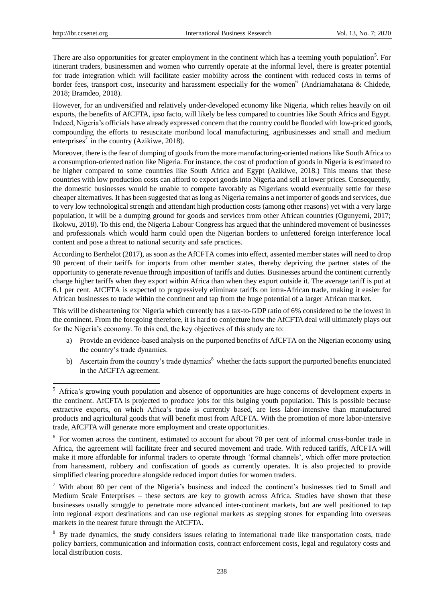-

There are also opportunities for greater employment in the continent which has a teeming youth population<sup>5</sup>. For itinerant traders, businessmen and women who currently operate at the informal level, there is greater potential for trade integration which will facilitate easier mobility across the continent with reduced costs in terms of border fees, transport cost, insecurity and harassment especially for the women<sup>6</sup> (Andriamahatana & Chidede, 2018; Bramdeo, 2018).

However, for an undiversified and relatively under-developed economy like Nigeria, which relies heavily on oil exports, the benefits of AfCFTA, ipso facto, will likely be less compared to countries like South Africa and Egypt. Indeed, Nigeria"s officials have already expressed concern that the country could be flooded with low-priced goods, compounding the efforts to resuscitate moribund local manufacturing, agribusinesses and small and medium enterprises<sup>7</sup> in the country (Azikiwe, 2018).

Moreover, there is the fear of dumping of goods from the more manufacturing-oriented nations like South Africa to a consumption-oriented nation like Nigeria. For instance, the cost of production of goods in Nigeria is estimated to be higher compared to some countries like South Africa and Egypt (Azikiwe, 2018.) This means that these countries with low production costs can afford to export goods into Nigeria and sell at lower prices. Consequently, the domestic businesses would be unable to compete favorably as Nigerians would eventually settle for these cheaper alternatives. It has been suggested that as long as Nigeria remains a net importer of goods and services, due to very low technological strength and attendant high production costs (among other reasons) yet with a very large population, it will be a dumping ground for goods and services from other African countries (Ogunyemi, 2017; Ikokwu, 2018). To this end, the Nigeria Labour Congress has argued that the unhindered movement of businesses and professionals which would harm could open the Nigerian borders to unfettered foreign interference local content and pose a threat to national security and safe practices.

According to Berthelot (2017), as soon as the AfCFTA comes into effect, assented member states will need to drop 90 percent of their tariffs for imports from other member states, thereby depriving the partner states of the opportunity to generate revenue through imposition of tariffs and duties. Businesses around the continent currently charge higher tariffs when they export within Africa than when they export outside it. The average tariff is put at 6.1 per cent. AfCFTA is expected to progressively eliminate tariffs on intra-African trade, making it easier for African businesses to trade within the continent and tap from the huge potential of a larger African market.

This will be disheartening for Nigeria which currently has a tax-to-GDP ratio of 6% considered to be the lowest in the continent. From the foregoing therefore, it is hard to conjecture how the AfCFTA deal will ultimately plays out for the Nigeria"s economy. To this end, the key objectives of this study are to:

- a) Provide an evidence-based analysis on the purported benefits of AfCFTA on the Nigerian economy using the country"s trade dynamics.
- b) Ascertain from the country's trade dynamics<sup>8</sup> whether the facts support the purported benefits enunciated in the AfCFTA agreement.

<sup>&</sup>lt;sup>5</sup> Africa's growing youth population and absence of opportunities are huge concerns of development experts in the continent. AfCFTA is projected to produce jobs for this bulging youth population. This is possible because extractive exports, on which Africa"s trade is currently based, are less labor-intensive than manufactured products and agricultural goods that will benefit most from AfCFTA. With the promotion of more labor-intensive trade, AfCFTA will generate more employment and create opportunities.

<sup>&</sup>lt;sup>6</sup> For women across the continent, estimated to account for about 70 per cent of informal cross-border trade in Africa, the agreement will facilitate freer and secured movement and trade. With reduced tariffs, AfCFTA will make it more affordable for informal traders to operate through "formal channels", which offer more protection from harassment, robbery and confiscation of goods as currently operates. It is also projected to provide simplified clearing procedure alongside reduced import duties for women traders.

 $7$  With about 80 per cent of the Nigeria's business and indeed the continent's businesses tied to Small and Medium Scale Enterprises – these sectors are key to growth across Africa. Studies have shown that these businesses usually struggle to penetrate more advanced inter-continent markets, but are well positioned to tap into regional export destinations and can use regional markets as stepping stones for expanding into overseas markets in the nearest future through the AfCFTA.

<sup>&</sup>lt;sup>8</sup> By trade dynamics, the study considers issues relating to international trade like transportation costs, trade policy barriers, communication and information costs, contract enforcement costs, legal and regulatory costs and local distribution costs.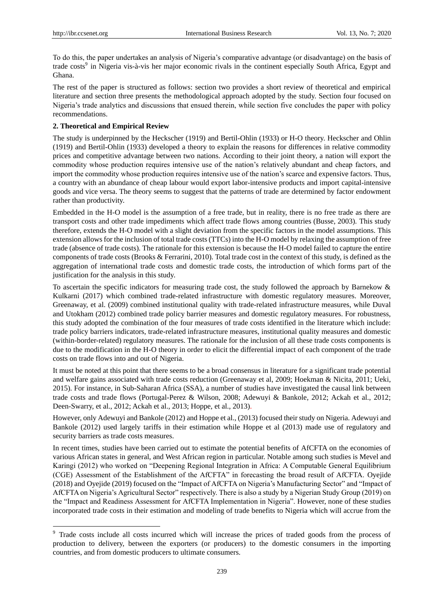-

To do this, the paper undertakes an analysis of Nigeria"s comparative advantage (or disadvantage) on the basis of trade costs<sup>9</sup> in Nigeria vis-à-vis her major economic rivals in the continent especially South Africa, Egypt and Ghana.

The rest of the paper is structured as follows: section two provides a short review of theoretical and empirical literature and section three presents the methodological approach adopted by the study. Section four focused on Nigeria"s trade analytics and discussions that ensued therein, while section five concludes the paper with policy recommendations.

## **2. Theoretical and Empirical Review**

The study is underpinned by the Heckscher (1919) and Bertil-Ohlin (1933) or H-O theory. Heckscher and Ohlin (1919) and Bertil-Ohlin (1933) developed a theory to explain the reasons for differences in relative commodity prices and competitive advantage between two nations. According to their joint theory, a nation will export the commodity whose production requires intensive use of the nation"s relatively abundant and cheap factors, and import the commodity whose production requires intensive use of the nation"s scarce and expensive factors. Thus, a country with an abundance of cheap labour would export labor-intensive products and import capital-intensive goods and vice versa. The theory seems to suggest that the patterns of trade are determined by factor endowment rather than productivity.

Embedded in the H-O model is the assumption of a free trade, but in reality, there is no free trade as there are transport costs and other trade impediments which affect trade flows among countries (Busse, 2003). This study therefore, extends the H-O model with a slight deviation from the specific factors in the model assumptions. This extension allows for the inclusion of total trade costs (TTCs) into the H-O model by relaxing the assumption of free trade (absence of trade costs). The rationale for this extension is because the H-O model failed to capture the entire components of trade costs (Brooks & Ferrarini, 2010). Total trade cost in the context of this study, is defined as the aggregation of international trade costs and domestic trade costs, the introduction of which forms part of the justification for the analysis in this study.

To ascertain the specific indicators for measuring trade cost, the study followed the approach by Barnekow & Kulkarni (2017) which combined trade-related infrastructure with domestic regulatory measures. Moreover, Greenaway, et al. (2009) combined institutional quality with trade-related infrastructure measures, while Duval and Utokham (2012) combined trade policy barrier measures and domestic regulatory measures. For robustness, this study adopted the combination of the four measures of trade costs identified in the literature which include: trade policy barriers indicators, trade-related infrastructure measures, institutional quality measures and domestic (within-border-related) regulatory measures. The rationale for the inclusion of all these trade costs components is due to the modification in the H-O theory in order to elicit the differential impact of each component of the trade costs on trade flows into and out of Nigeria.

It must be noted at this point that there seems to be a broad consensus in literature for a significant trade potential and welfare gains associated with trade costs reduction (Greenaway et al, 2009; Hoekman & Nicita, 2011; Ueki, 2015). For instance, in Sub-Saharan Africa (SSA), a number of studies have investigated the causal link between trade costs and trade flows (Portugal-Perez & Wilson, 2008; Adewuyi & Bankole, 2012; Ackah et al., 2012; Deen-Swarry, et al., 2012; Ackah et al., 2013; Hoppe, et al., 2013).

However, only Adewuyi and Bankole (2012) and Hoppe et al., (2013) focused their study on Nigeria. Adewuyi and Bankole (2012) used largely tariffs in their estimation while Hoppe et al (2013) made use of regulatory and security barriers as trade costs measures.

In recent times, studies have been carried out to estimate the potential benefits of AfCFTA on the economies of various African states in general, and West African region in particular. Notable among such studies is Mevel and Karingi (2012) who worked on "Deepening Regional Integration in Africa: A Computable General Equilibrium (CGE) Assessment of the Establishment of the AfCFTA" in forecasting the broad result of AfCFTA. Oyejide (2018) and Oyejide (2019) focused on the "Impact of AfCFTA on Nigeria"s Manufacturing Sector" and "Impact of AfCFTA on Nigeria"s Agricultural Sector" respectively. There is also a study by a Nigerian Study Group (2019) on the "Impact and Readiness Assessment for AfCFTA Implementation in Nigeria". However, none of these studies incorporated trade costs in their estimation and modeling of trade benefits to Nigeria which will accrue from the

<sup>&</sup>lt;sup>9</sup> Trade costs include all costs incurred which will increase the prices of traded goods from the process of production to delivery, between the exporters (or producers) to the domestic consumers in the importing countries, and from domestic producers to ultimate consumers.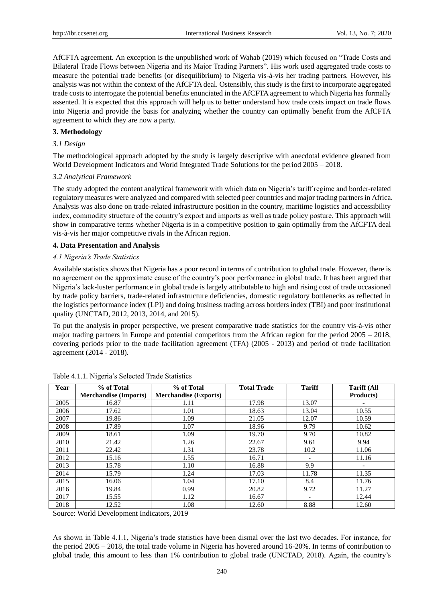AfCFTA agreement. An exception is the unpublished work of Wahab (2019) which focused on "Trade Costs and Bilateral Trade Flows between Nigeria and its Major Trading Partners". His work used aggregated trade costs to measure the potential trade benefits (or disequilibrium) to Nigeria vis-à-vis her trading partners. However, his analysis was not within the context of the AfCFTA deal. Ostensibly, this study is the first to incorporate aggregated trade costs to interrogate the potential benefits enunciated in the AfCFTA agreement to which Nigeria has formally assented. It is expected that this approach will help us to better understand how trade costs impact on trade flows into Nigeria and provide the basis for analyzing whether the country can optimally benefit from the AfCFTA agreement to which they are now a party.

#### **3. Methodology**

#### *3.1 Design*

The methodological approach adopted by the study is largely descriptive with anecdotal evidence gleaned from World Development Indicators and World Integrated Trade Solutions for the period 2005 – 2018.

#### *3.2 Analytical Framework*

The study adopted the content analytical framework with which data on Nigeria"s tariff regime and border-related regulatory measures were analyzed and compared with selected peer countries and major trading partners in Africa. Analysis was also done on trade-related infrastructure position in the country, maritime logistics and accessibility index, commodity structure of the country"s export and imports as well as trade policy posture. This approach will show in comparative terms whether Nigeria is in a competitive position to gain optimally from the AfCFTA deal vis-à-vis her major competitive rivals in the African region.

#### **4. Data Presentation and Analysis**

#### *4.1 Nigeria's Trade Statistics*

Available statistics shows that Nigeria has a poor record in terms of contribution to global trade. However, there is no agreement on the approximate cause of the country"s poor performance in global trade. It has been argued that Nigeria"s lack-luster performance in global trade is largely attributable to high and rising cost of trade occasioned by trade policy barriers, trade-related infrastructure deficiencies, domestic regulatory bottlenecks as reflected in the logistics performance index (LPI) and doing business trading across borders index (TBI) and poor institutional quality (UNCTAD, 2012, 2013, 2014, and 2015).

To put the analysis in proper perspective, we present comparative trade statistics for the country vis-à-vis other major trading partners in Europe and potential competitors from the African region for the period 2005 – 2018, covering periods prior to the trade facilitation agreement (TFA) (2005 - 2013) and period of trade facilitation agreement (2014 - 2018).

| Year | % of Total                   | % of Total                   | <b>Total Trade</b> | <b>Tariff</b>            | <b>Tariff (All</b>       |
|------|------------------------------|------------------------------|--------------------|--------------------------|--------------------------|
|      | <b>Merchandise</b> (Imports) | <b>Merchandise (Exports)</b> |                    |                          | Products)                |
| 2005 | 16.87                        | 1.11                         | 17.98              | 13.07                    | $\overline{\phantom{a}}$ |
| 2006 | 17.62                        | 1.01                         | 18.63              | 13.04                    | 10.55                    |
| 2007 | 19.86                        | 1.09                         | 21.05              | 12.07                    | 10.59                    |
| 2008 | 17.89                        | 1.07                         | 18.96              | 9.79                     | 10.62                    |
| 2009 | 18.61                        | 1.09                         | 19.70              | 9.70                     | 10.82                    |
| 2010 | 21.42                        | 1.26                         | 22.67              | 9.61                     | 9.94                     |
| 2011 | 22.42                        | 1.31                         | 23.78              | 10.2                     | 11.06                    |
| 2012 | 15.16                        | 1.55                         | 16.71              | $\overline{\phantom{a}}$ | 11.16                    |
| 2013 | 15.78                        | 1.10                         | 16.88              | 9.9                      | $\overline{\phantom{a}}$ |
| 2014 | 15.79                        | 1.24                         | 17.03              | 11.78                    | 11.35                    |
| 2015 | 16.06                        | 1.04                         | 17.10              | 8.4                      | 11.76                    |
| 2016 | 19.84                        | 0.99                         | 20.82              | 9.72                     | 11.27                    |
| 2017 | 15.55                        | 1.12                         | 16.67              | $\overline{\phantom{a}}$ | 12.44                    |
| 2018 | 12.52                        | 1.08                         | 12.60              | 8.88                     | 12.60                    |

Table 4.1.1. Nigeria"s Selected Trade Statistics

Source: World Development Indicators, 2019

As shown in Table 4.1.1, Nigeria's trade statistics have been dismal over the last two decades. For instance, for the period 2005 – 2018, the total trade volume in Nigeria has hovered around 16-20%. In terms of contribution to global trade, this amount to less than 1% contribution to global trade (UNCTAD, 2018). Again, the country"s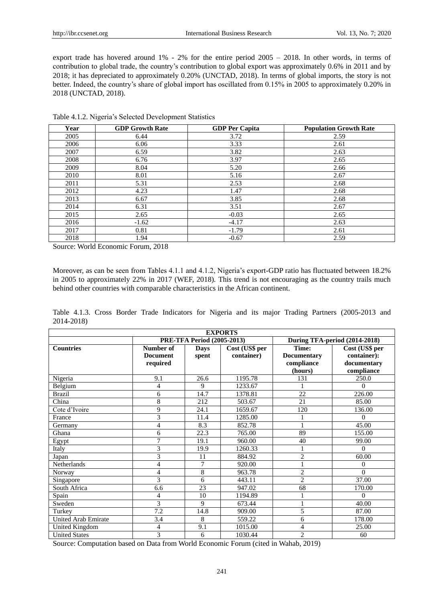export trade has hovered around 1% - 2% for the entire period 2005 – 2018. In other words, in terms of contribution to global trade, the country"s contribution to global export was approximately 0.6% in 2011 and by 2018; it has depreciated to approximately 0.20% (UNCTAD, 2018). In terms of global imports, the story is not better. Indeed, the country"s share of global import has oscillated from 0.15% in 2005 to approximately 0.20% in 2018 (UNCTAD, 2018).

| Year | <b>GDP Growth Rate</b> | <b>GDP Per Capita</b> | <b>Population Growth Rate</b> |
|------|------------------------|-----------------------|-------------------------------|
| 2005 | 6.44                   | 3.72                  | 2.59                          |
| 2006 | 6.06                   | 3.33                  | 2.61                          |
| 2007 | 6.59                   | 3.82                  | 2.63                          |
| 2008 | 6.76                   | 3.97                  | 2.65                          |
| 2009 | 8.04                   | 5.20                  | 2.66                          |
| 2010 | 8.01                   | 5.16                  | 2.67                          |
| 2011 | 5.31                   | 2.53                  | 2.68                          |
| 2012 | 4.23                   | 1.47                  | 2.68                          |
| 2013 | 6.67                   | 3.85                  | 2.68                          |
| 2014 | 6.31                   | 3.51                  | 2.67                          |
| 2015 | 2.65                   | $-0.03$               | 2.65                          |
| 2016 | $-1.62$                | $-4.17$               | 2.63                          |
| 2017 | 0.81                   | $-1.79$               | 2.61                          |
| 2018 | 1.94                   | $-0.67$               | 2.59                          |

Table 4.1.2. Nigeria"s Selected Development Statistics

Source: World Economic Forum, 2018

Moreover, as can be seen from Tables 4.1.1 and 4.1.2, Nigeria's export-GDP ratio has fluctuated between 18.2% in 2005 to approximately 22% in 2017 (WEF, 2018). This trend is not encouraging as the country trails much behind other countries with comparable characteristics in the African continent.

Table 4.1.3. Cross Border Trade Indicators for Nigeria and its major Trading Partners (2005-2013 and 2014-2018)

| <b>EXPORTS</b>       |                 |                                   |                |                    |                               |  |  |
|----------------------|-----------------|-----------------------------------|----------------|--------------------|-------------------------------|--|--|
|                      |                 | <b>PRE-TFA Period (2005-2013)</b> |                |                    | During TFA-period (2014-2018) |  |  |
| <b>Countries</b>     | Number of       | Days                              | Cost (US\$ per | Time:              | Cost (US\$ per                |  |  |
|                      | <b>Document</b> | spent                             | container)     | <b>Documentary</b> | container):                   |  |  |
|                      | required        |                                   |                | compliance         | documentary                   |  |  |
|                      |                 |                                   |                | (hours)            | compliance                    |  |  |
| Nigeria              | 9.1             | 26.6                              | 1195.78        | 131                | 250.0                         |  |  |
| Belgium              | 4               | 9                                 | 1233.67        |                    | $\Omega$                      |  |  |
| <b>Brazil</b>        | 6               | 14.7                              | 1378.81        | 22                 | 226.00                        |  |  |
| China                | 8               | 212                               | 503.67         | 21                 | 85.00                         |  |  |
| Cote d'Ivoire        | 9               | 24.1                              | 1659.67        | 120                | 136.00                        |  |  |
| France               | 3               | 11.4                              | 1285.00        |                    | $\Omega$                      |  |  |
| Germany              | 4               | 8.3                               | 852.78         |                    | 45.00                         |  |  |
| Ghana                | 6               | 22.3                              | 765.00         | 89                 | 155.00                        |  |  |
| Egypt                | $\overline{7}$  | 19.1                              | 960.00         | 40                 | 99.00                         |  |  |
| Italy                | 3               | 19.9                              | 1260.33        |                    | $\Omega$                      |  |  |
| Japan                | 3               | 11                                | 884.92         | $\overline{2}$     | 60.00                         |  |  |
| Netherlands          | 4               | $\overline{7}$                    | 920.00         |                    | $\Omega$                      |  |  |
| Norway               | 4               | 8                                 | 963.78         | $\mathfrak{2}$     | $\Omega$                      |  |  |
| Singapore            | 3               | 6                                 | 443.11         | $\overline{2}$     | 37.00                         |  |  |
| South Africa         | 6.6             | 23                                | 947.02         | 68                 | 170.00                        |  |  |
| Spain                | 4               | 10                                | 1194.89        |                    | $\Omega$                      |  |  |
| Sweden               | 3               | 9                                 | 673.44         |                    | 40.00                         |  |  |
| Turkey               | 7.2             | 14.8                              | 909.00         | 5                  | 87.00                         |  |  |
| United Arab Emirate  | 3.4             | 8                                 | 559.22         | 6                  | 178.00                        |  |  |
| United Kingdom       | 4               | 9.1                               | 1015.00        | 4                  | 25.00                         |  |  |
| <b>United States</b> | 3               | 6                                 | 1030.44        | $\overline{c}$     | 60                            |  |  |

Source: Computation based on Data from World Economic Forum (cited in Wahab, 2019)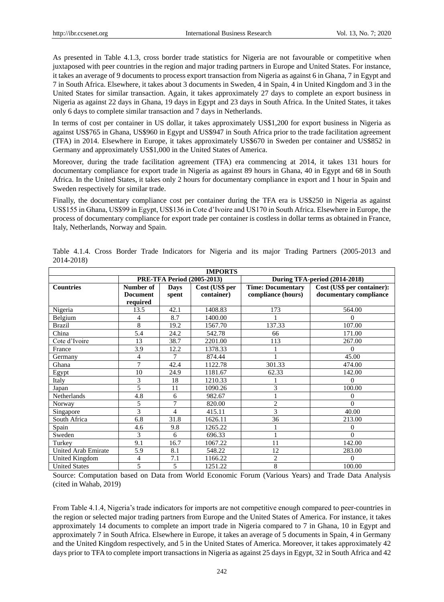As presented in Table 4.1.3, cross border trade statistics for Nigeria are not favourable or competitive when juxtaposed with peer countries in the region and major trading partners in Europe and United States. For instance, it takes an average of 9 documents to process export transaction from Nigeria as against 6 in Ghana, 7 in Egypt and 7 in South Africa. Elsewhere, it takes about 3 documents in Sweden, 4 in Spain, 4 in United Kingdom and 3 in the United States for similar transaction. Again, it takes approximately 27 days to complete an export business in Nigeria as against 22 days in Ghana, 19 days in Egypt and 23 days in South Africa. In the United States, it takes only 6 days to complete similar transaction and 7 days in Netherlands.

In terms of cost per container in US dollar, it takes approximately US\$1,200 for export business in Nigeria as against US\$765 in Ghana, US\$960 in Egypt and US\$947 in South Africa prior to the trade facilitation agreement (TFA) in 2014. Elsewhere in Europe, it takes approximately US\$670 in Sweden per container and US\$852 in Germany and approximately US\$1,000 in the United States of America.

Moreover, during the trade facilitation agreement (TFA) era commencing at 2014, it takes 131 hours for documentary compliance for export trade in Nigeria as against 89 hours in Ghana, 40 in Egypt and 68 in South Africa. In the United States, it takes only 2 hours for documentary compliance in export and 1 hour in Spain and Sweden respectively for similar trade.

Finally, the documentary compliance cost per container during the TFA era is US\$250 in Nigeria as against US\$155 in Ghana, US\$99 in Egypt, US\$136 in Cote d"Ivoire and US170 in South Africa. Elsewhere in Europe, the process of documentary compliance for export trade per container is costless in dollar terms as obtained in France, Italy, Netherlands, Norway and Spain.

| <b>IMPORTS</b>             |                 |             |                                   |                          |                               |  |
|----------------------------|-----------------|-------------|-----------------------------------|--------------------------|-------------------------------|--|
|                            |                 |             | <b>PRE-TFA Period (2005-2013)</b> |                          | During TFA-period (2014-2018) |  |
| <b>Countries</b>           | Number of       | <b>Days</b> | Cost (US\$ per                    | <b>Time: Documentary</b> | Cost (US\$ per container):    |  |
|                            | <b>Document</b> | spent       | container)                        | compliance (hours)       | documentary compliance        |  |
|                            | required        |             |                                   |                          |                               |  |
| Nigeria                    | 13.5            | 42.1        | 1408.83                           | 173                      | 564.00                        |  |
| Belgium                    | 4               | 8.7         | 1400.00                           |                          | $\Omega$                      |  |
| <b>Brazil</b>              | 8               | 19.2        | 1567.70                           | 137.33                   | 107.00                        |  |
| China                      | 5.4             | 24.2        | 542.78                            | 66                       | 171.00                        |  |
| Cote d'Ivoire              | 13              | 38.7        | 2201.00                           | 113                      | 267.00                        |  |
| France                     | 3.9             | 12.2        | 1378.33                           |                          | $\Omega$                      |  |
| Germany                    | 4               | 7           | 874.44                            |                          | 45.00                         |  |
| Ghana                      | 7               | 42.4        | 1122.78                           | 301.33                   | 474.00                        |  |
| Egypt                      | 10              | 24.9        | 1181.67                           | 62.33                    | 142.00                        |  |
| Italy                      | 3               | 18          | 1210.33                           |                          | $\Omega$                      |  |
| Japan                      | 5               | 11          | 1090.26                           | 3                        | 100.00                        |  |
| Netherlands                | 4.8             | 6           | 982.67                            |                          | $\theta$                      |  |
| Norway                     | 5               | 7           | 820.00                            | $\overline{c}$           | $\theta$                      |  |
| Singapore                  | 3               | 4           | 415.11                            | 3                        | 40.00                         |  |
| South Africa               | 6.8             | 31.8        | 1626.11                           | 36                       | 213.00                        |  |
| Spain                      | 4.6             | 9.8         | 1265.22                           |                          | $\Omega$                      |  |
| Sweden                     | 3               | 6           | 696.33                            |                          | $\Omega$                      |  |
| Turkey                     | 9.1             | 16.7        | 1067.22                           | 11                       | 142.00                        |  |
| <b>United Arab Emirate</b> | 5.9             | 8.1         | 548.22                            | 12                       | 283.00                        |  |
| United Kingdom             | 4               | 7.1         | 1166.22                           | $\overline{c}$           | $\Omega$                      |  |
| <b>United States</b>       | 5               | 5           | 1251.22                           | 8                        | 100.00                        |  |

Table 4.1.4. Cross Border Trade Indicators for Nigeria and its major Trading Partners (2005-2013 and 2014-2018)

Source: Computation based on Data from World Economic Forum (Various Years) and Trade Data Analysis (cited in Wahab, 2019)

From Table 4.1.4, Nigeria's trade indicators for imports are not competitive enough compared to peer-countries in the region or selected major trading partners from Europe and the United States of America. For instance, it takes approximately 14 documents to complete an import trade in Nigeria compared to 7 in Ghana, 10 in Egypt and approximately 7 in South Africa. Elsewhere in Europe, it takes an average of 5 documents in Spain, 4 in Germany and the United Kingdom respectively, and 5 in the United States of America. Moreover, it takes approximately 42 days prior to TFA to complete import transactions in Nigeria as against 25 days in Egypt, 32 in South Africa and 42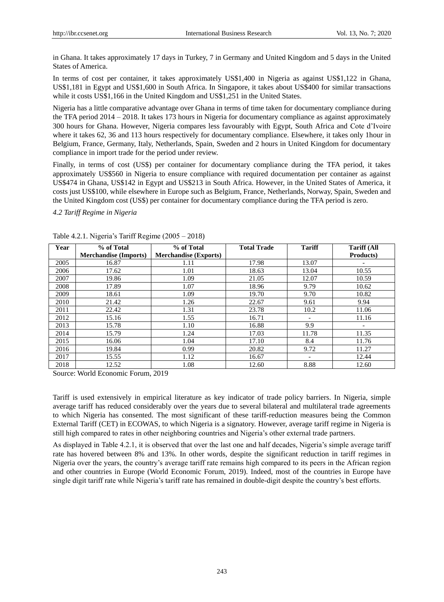in Ghana. It takes approximately 17 days in Turkey, 7 in Germany and United Kingdom and 5 days in the United States of America.

In terms of cost per container, it takes approximately US\$1,400 in Nigeria as against US\$1,122 in Ghana, US\$1,181 in Egypt and US\$1,600 in South Africa. In Singapore, it takes about US\$400 for similar transactions while it costs US\$1,166 in the United Kingdom and US\$1,251 in the United States.

Nigeria has a little comparative advantage over Ghana in terms of time taken for documentary compliance during the TFA period 2014 – 2018. It takes 173 hours in Nigeria for documentary compliance as against approximately 300 hours for Ghana. However, Nigeria compares less favourably with Egypt, South Africa and Cote d"Ivoire where it takes 62, 36 and 113 hours respectively for documentary compliance. Elsewhere, it takes only 1hour in Belgium, France, Germany, Italy, Netherlands, Spain, Sweden and 2 hours in United Kingdom for documentary compliance in import trade for the period under review.

Finally, in terms of cost (US\$) per container for documentary compliance during the TFA period, it takes approximately US\$560 in Nigeria to ensure compliance with required documentation per container as against US\$474 in Ghana, US\$142 in Egypt and US\$213 in South Africa. However, in the United States of America, it costs just US\$100, while elsewhere in Europe such as Belgium, France, Netherlands, Norway, Spain, Sweden and the United Kingdom cost (US\$) per container for documentary compliance during the TFA period is zero.

*4.2 Tariff Regime in Nigeria*

| Year | % of Total                   | % of Total                   | <b>Total Trade</b> | <b>Tariff</b>            | <b>Tariff (All</b>       |
|------|------------------------------|------------------------------|--------------------|--------------------------|--------------------------|
|      | <b>Merchandise (Imports)</b> | <b>Merchandise</b> (Exports) |                    |                          | Products)                |
| 2005 | 16.87                        | 1.11                         | 17.98              | 13.07                    |                          |
| 2006 | 17.62                        | 1.01                         | 18.63              | 13.04                    | 10.55                    |
| 2007 | 19.86                        | 1.09                         | 21.05              | 12.07                    | 10.59                    |
| 2008 | 17.89                        | 1.07                         | 18.96              | 9.79                     | 10.62                    |
| 2009 | 18.61                        | 1.09                         | 19.70              | 9.70                     | 10.82                    |
| 2010 | 21.42                        | 1.26                         | 22.67              | 9.61                     | 9.94                     |
| 2011 | 22.42                        | 1.31                         | 23.78              | 10.2                     | 11.06                    |
| 2012 | 15.16                        | 1.55                         | 16.71              | $\overline{\phantom{a}}$ | 11.16                    |
| 2013 | 15.78                        | 1.10                         | 16.88              | 9.9                      | $\overline{\phantom{a}}$ |
| 2014 | 15.79                        | 1.24                         | 17.03              | 11.78                    | 11.35                    |
| 2015 | 16.06                        | 1.04                         | 17.10              | 8.4                      | 11.76                    |
| 2016 | 19.84                        | 0.99                         | 20.82              | 9.72                     | 11.27                    |
| 2017 | 15.55                        | 1.12                         | 16.67              | $\overline{\phantom{a}}$ | 12.44                    |
| 2018 | 12.52                        | 1.08                         | 12.60              | 8.88                     | 12.60                    |

Table 4.2.1. Nigeria"s Tariff Regime (2005 – 2018)

Source: World Economic Forum, 2019

Tariff is used extensively in empirical literature as key indicator of trade policy barriers. In Nigeria, simple average tariff has reduced considerably over the years due to several bilateral and multilateral trade agreements to which Nigeria has consented. The most significant of these tariff-reduction measures being the Common External Tariff (CET) in ECOWAS, to which Nigeria is a signatory. However, average tariff regime in Nigeria is still high compared to rates in other neighboring countries and Nigeria"s other external trade partners.

As displayed in Table 4.2.1, it is observed that over the last one and half decades, Nigeria's simple average tariff rate has hovered between 8% and 13%. In other words, despite the significant reduction in tariff regimes in Nigeria over the years, the country"s average tariff rate remains high compared to its peers in the African region and other countries in Europe (World Economic Forum, 2019). Indeed, most of the countries in Europe have single digit tariff rate while Nigeria's tariff rate has remained in double-digit despite the country's best efforts.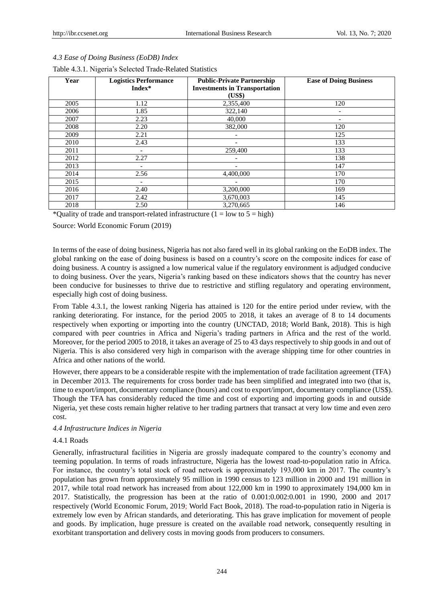|  |  |  |  | 4.3 Ease of Doing Business (EoDB) Index |  |  |
|--|--|--|--|-----------------------------------------|--|--|
|--|--|--|--|-----------------------------------------|--|--|

| Year | <b>Logistics Performance</b><br>Index* | <b>Public-Private Partnership</b><br><b>Investments in Transportation</b><br>(US\$) | <b>Ease of Doing Business</b> |
|------|----------------------------------------|-------------------------------------------------------------------------------------|-------------------------------|
| 2005 | 1.12                                   | 2,355,400                                                                           | 120                           |
| 2006 | 1.85                                   | 322,140                                                                             | -                             |
| 2007 | 2.23                                   | 40,000                                                                              | -                             |
| 2008 | 2.20                                   | 382,000                                                                             | 120                           |
| 2009 | 2.21                                   | ٠                                                                                   | 125                           |
| 2010 | 2.43                                   | $\overline{a}$                                                                      | 133                           |
| 2011 | $\qquad \qquad \blacksquare$           | 259,400                                                                             | 133                           |
| 2012 | 2.27                                   |                                                                                     | 138                           |
| 2013 |                                        |                                                                                     | 147                           |
| 2014 | 2.56                                   | 4,400,000                                                                           | 170                           |
| 2015 | $\overline{\phantom{0}}$               |                                                                                     | 170                           |
| 2016 | 2.40                                   | 3,200,000                                                                           | 169                           |
| 2017 | 2.42                                   | 3,670,003                                                                           | 145                           |
| 2018 | 2.50                                   | 3,270,665                                                                           | 146                           |

#### Table 4.3.1. Nigeria"s Selected Trade-Related Statistics

\*Quality of trade and transport-related infrastructure ( $1 =$  low to  $5 =$  high)

Source: World Economic Forum (2019)

In terms of the ease of doing business, Nigeria has not also fared well in its global ranking on the EoDB index. The global ranking on the ease of doing business is based on a country"s score on the composite indices for ease of doing business. A country is assigned a low numerical value if the regulatory environment is adjudged conducive to doing business. Over the years, Nigeria"s ranking based on these indicators shows that the country has never been conducive for businesses to thrive due to restrictive and stifling regulatory and operating environment, especially high cost of doing business.

From Table 4.3.1, the lowest ranking Nigeria has attained is 120 for the entire period under review, with the ranking deteriorating. For instance, for the period 2005 to 2018, it takes an average of 8 to 14 documents respectively when exporting or importing into the country (UNCTAD, 2018; World Bank, 2018). This is high compared with peer countries in Africa and Nigeria"s trading partners in Africa and the rest of the world. Moreover, for the period 2005 to 2018, it takes an average of 25 to 43 days respectively to ship goods in and out of Nigeria. This is also considered very high in comparison with the average shipping time for other countries in Africa and other nations of the world.

However, there appears to be a considerable respite with the implementation of trade facilitation agreement (TFA) in December 2013. The requirements for cross border trade has been simplified and integrated into two (that is, time to export/import, documentary compliance (hours) and cost to export/import, documentary compliance (US\$). Though the TFA has considerably reduced the time and cost of exporting and importing goods in and outside Nigeria, yet these costs remain higher relative to her trading partners that transact at very low time and even zero cost.

## *4.4 Infrastructure Indices in Nigeria*

## 4.4.1 Roads

Generally, infrastructural facilities in Nigeria are grossly inadequate compared to the country"s economy and teeming population. In terms of roads infrastructure, Nigeria has the lowest road-to-population ratio in Africa. For instance, the country's total stock of road network is approximately 193,000 km in 2017. The country's population has grown from approximately 95 million in 1990 census to 123 million in 2000 and 191 million in 2017, while total road network has increased from about 122,000 km in 1990 to approximately 194,000 km in 2017. Statistically, the progression has been at the ratio of 0.001:0.002:0.001 in 1990, 2000 and 2017 respectively (World Economic Forum, 2019; World Fact Book, 2018). The road-to-population ratio in Nigeria is extremely low even by African standards, and deteriorating. This has grave implication for movement of people and goods. By implication, huge pressure is created on the available road network, consequently resulting in exorbitant transportation and delivery costs in moving goods from producers to consumers.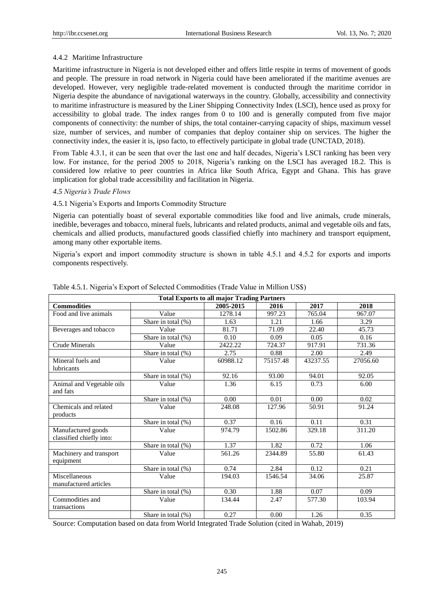## 4.4.2 Maritime Infrastructure

Maritime infrastructure in Nigeria is not developed either and offers little respite in terms of movement of goods and people. The pressure in road network in Nigeria could have been ameliorated if the maritime avenues are developed. However, very negligible trade-related movement is conducted through the maritime corridor in Nigeria despite the abundance of navigational waterways in the country. Globally, accessibility and connectivity to maritime infrastructure is measured by the Liner Shipping Connectivity Index (LSCI), hence used as proxy for accessibility to global trade. The index ranges from 0 to 100 and is generally computed from five major components of connectivity: the number of ships, the total container-carrying capacity of ships, maximum vessel size, number of services, and number of companies that deploy container ship on services. The higher the connectivity index, the easier it is, ipso facto, to effectively participate in global trade (UNCTAD, 2018).

From Table 4.3.1, it can be seen that over the last one and half decades, Nigeria"s LSCI ranking has been very low. For instance, for the period 2005 to 2018, Nigeria"s ranking on the LSCI has averaged 18.2. This is considered low relative to peer countries in Africa like South Africa, Egypt and Ghana. This has grave implication for global trade accessibility and facilitation in Nigeria.

## *4.5 Nigeria's Trade Flows*

## 4.5.1 Nigeria"s Exports and Imports Commodity Structure

Nigeria can potentially boast of several exportable commodities like food and live animals, crude minerals, inedible, beverages and tobacco, mineral fuels, lubricants and related products, animal and vegetable oils and fats, chemicals and allied products, manufactured goods classified chiefly into machinery and transport equipment, among many other exportable items.

Nigeria"s export and import commodity structure is shown in table 4.5.1 and 4.5.2 for exports and imports components respectively.

| <b>Total Exports to all major Trading Partners</b> |                       |           |          |          |          |  |  |
|----------------------------------------------------|-----------------------|-----------|----------|----------|----------|--|--|
| <b>Commodities</b>                                 |                       | 2005-2015 | 2016     | 2017     | 2018     |  |  |
| Food and live animals                              | Value                 | 1278.14   | 997.23   | 765.04   | 967.07   |  |  |
|                                                    | Share in total $(\%)$ | 1.63      | 1.21     | 1.66     | 3.29     |  |  |
| Beverages and tobacco                              | Value                 | 81.71     | 71.09    | 22.40    | 45.73    |  |  |
|                                                    | Share in total (%)    | 0.10      | 0.09     | 0.05     | 0.16     |  |  |
| <b>Crude Minerals</b>                              | Value                 | 2422.22   | 724.37   | 917.91   | 731.36   |  |  |
|                                                    | Share in total (%)    | 2.75      | 0.88     | 2.00     | 2.49     |  |  |
| Mineral fuels and                                  | Value                 | 60988.12  | 75157.48 | 43237.55 | 27056.60 |  |  |
| lubricants                                         |                       |           |          |          |          |  |  |
|                                                    | Share in total (%)    | 92.16     | 93.00    | 94.01    | 92.05    |  |  |
| Animal and Vegetable oils                          | Value                 | 1.36      | 6.15     | 0.73     | 6.00     |  |  |
| and fats                                           |                       |           |          |          |          |  |  |
|                                                    | Share in total $(\%)$ | 0.00      | 0.01     | 0.00     | 0.02     |  |  |
| Chemicals and related                              | Value                 | 248.08    | 127.96   | 50.91    | 91.24    |  |  |
| products                                           |                       |           |          |          |          |  |  |
|                                                    | Share in total $(\%)$ | 0.37      | 0.16     | 0.11     | 0.31     |  |  |
| Manufactured goods                                 | Value                 | 974.79    | 1502.86  | 329.18   | 311.20   |  |  |
| classified chiefly into:                           |                       |           |          |          |          |  |  |
|                                                    | Share in total (%)    | 1.37      | 1.82     | 0.72     | 1.06     |  |  |
| Machinery and transport                            | Value                 | 561.26    | 2344.89  | 55.80    | 61.43    |  |  |
| equipment                                          |                       |           |          |          |          |  |  |
|                                                    | Share in total (%)    | 0.74      | 2.84     | 0.12     | 0.21     |  |  |
| Miscellaneous                                      | Value                 | 194.03    | 1546.54  | 34.06    | 25.87    |  |  |
| manufactured articles                              |                       |           |          |          |          |  |  |
|                                                    | Share in total (%)    | 0.30      | 1.88     | 0.07     | 0.09     |  |  |
| Commodities and                                    | Value                 | 134.44    | 2.47     | 577.30   | 103.94   |  |  |
| transactions                                       |                       |           |          |          |          |  |  |
|                                                    | Share in total (%)    | 0.27      | 0.00     | 1.26     | 0.35     |  |  |

| Table 4.5.1. Nigeria's Export of Selected Commodities (Trade Value in Million US\$) |  |  |
|-------------------------------------------------------------------------------------|--|--|
|                                                                                     |  |  |

Source: Computation based on data from World Integrated Trade Solution (cited in Wahab, 2019)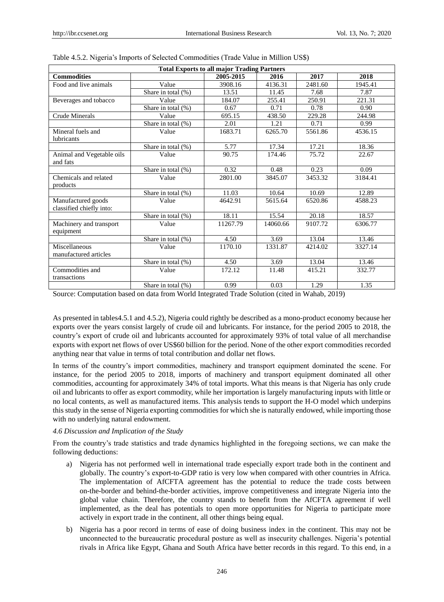|                                                | <b>Total Exports to all major Trading Partners</b> |           |          |         |         |  |  |  |
|------------------------------------------------|----------------------------------------------------|-----------|----------|---------|---------|--|--|--|
| <b>Commodities</b>                             |                                                    | 2005-2015 | 2016     | 2017    | 2018    |  |  |  |
| Food and live animals                          | Value                                              | 3908.16   | 4136.31  | 2481.60 | 1945.41 |  |  |  |
|                                                | Share in total $(\%)$                              | 13.51     | 11.45    | 7.68    | 7.87    |  |  |  |
| Beverages and tobacco                          | Value                                              | 184.07    | 255.41   | 250.91  | 221.31  |  |  |  |
|                                                | Share in total (%)                                 | 0.67      | 0.71     | 0.78    | 0.90    |  |  |  |
| <b>Crude Minerals</b>                          | Value                                              | 695.15    | 438.50   | 229.28  | 244.98  |  |  |  |
|                                                | Share in total (%)                                 | 2.01      | 1.21     | 0.71    | 0.99    |  |  |  |
| Mineral fuels and<br>lubricants                | Value                                              | 1683.71   | 6265.70  | 5561.86 | 4536.15 |  |  |  |
|                                                | Share in total (%)                                 | 5.77      | 17.34    | 17.21   | 18.36   |  |  |  |
| Animal and Vegetable oils<br>and fats          | Value                                              | 90.75     | 174.46   | 75.72   | 22.67   |  |  |  |
|                                                | Share in total $(\%)$                              | 0.32      | 0.48     | 0.23    | 0.09    |  |  |  |
| Chemicals and related<br>products              | Value                                              | 2801.00   | 3845.07  | 3453.32 | 3184.41 |  |  |  |
|                                                | Share in total (%)                                 | 11.03     | 10.64    | 10.69   | 12.89   |  |  |  |
| Manufactured goods<br>classified chiefly into: | Value                                              | 4642.91   | 5615.64  | 6520.86 | 4588.23 |  |  |  |
|                                                | Share in total $(\%)$                              | 18.11     | 15.54    | 20.18   | 18.57   |  |  |  |
| Machinery and transport<br>equipment           | Value                                              | 11267.79  | 14060.66 | 9107.72 | 6306.77 |  |  |  |
|                                                | Share in total (%)                                 | 4.50      | 3.69     | 13.04   | 13.46   |  |  |  |
| Miscellaneous<br>manufactured articles         | Value                                              | 1170.10   | 1331.87  | 4214.02 | 3327.14 |  |  |  |
|                                                | Share in total (%)                                 | 4.50      | 3.69     | 13.04   | 13.46   |  |  |  |
| Commodities and<br>transactions                | Value                                              | 172.12    | 11.48    | 415.21  | 332.77  |  |  |  |
|                                                | Share in total (%)                                 | 0.99      | 0.03     | 1.29    | 1.35    |  |  |  |

| Table 4.5.2. Nigeria's Imports of Selected Commodities (Trade Value in Million US\$) |  |  |  |  |
|--------------------------------------------------------------------------------------|--|--|--|--|
|--------------------------------------------------------------------------------------|--|--|--|--|

Source: Computation based on data from World Integrated Trade Solution (cited in Wahab, 2019)

As presented in tables4.5.1 and 4.5.2), Nigeria could rightly be described as a mono-product economy because her exports over the years consist largely of crude oil and lubricants. For instance, for the period 2005 to 2018, the country"s export of crude oil and lubricants accounted for approximately 93% of total value of all merchandise exports with export net flows of over US\$60 billion for the period. None of the other export commodities recorded anything near that value in terms of total contribution and dollar net flows.

In terms of the country"s import commodities, machinery and transport equipment dominated the scene. For instance, for the period 2005 to 2018, imports of machinery and transport equipment dominated all other commodities, accounting for approximately 34% of total imports. What this means is that Nigeria has only crude oil and lubricants to offer as export commodity, while her importation is largely manufacturing inputs with little or no local contents, as well as manufactured items. This analysis tends to support the H-O model which underpins this study in the sense of Nigeria exporting commodities for which she is naturally endowed, while importing those with no underlying natural endowment.

## *4.6 Discussion and Implication of the Study*

From the country"s trade statistics and trade dynamics highlighted in the foregoing sections, we can make the following deductions:

- a) Nigeria has not performed well in international trade especially export trade both in the continent and globally. The country"s export-to-GDP ratio is very low when compared with other countries in Africa. The implementation of AfCFTA agreement has the potential to reduce the trade costs between on-the-border and behind-the-border activities, improve competitiveness and integrate Nigeria into the global value chain. Therefore, the country stands to benefit from the AfCFTA agreement if well implemented, as the deal has potentials to open more opportunities for Nigeria to participate more actively in export trade in the continent, all other things being equal.
- b) Nigeria has a poor record in terms of ease of doing business index in the continent. This may not be unconnected to the bureaucratic procedural posture as well as insecurity challenges. Nigeria"s potential rivals in Africa like Egypt, Ghana and South Africa have better records in this regard. To this end, in a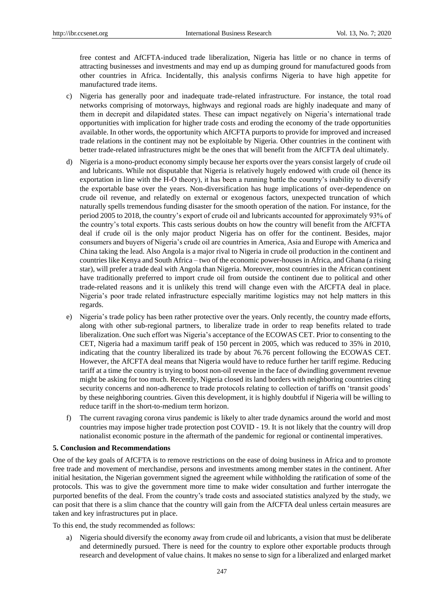free contest and AfCFTA-induced trade liberalization, Nigeria has little or no chance in terms of attracting businesses and investments and may end up as dumping ground for manufactured goods from other countries in Africa. Incidentally, this analysis confirms Nigeria to have high appetite for manufactured trade items.

- c) Nigeria has generally poor and inadequate trade-related infrastructure. For instance, the total road networks comprising of motorways, highways and regional roads are highly inadequate and many of them in decrepit and dilapidated states. These can impact negatively on Nigeria"s international trade opportunities with implication for higher trade costs and eroding the economy of the trade opportunities available. In other words, the opportunity which AfCFTA purports to provide for improved and increased trade relations in the continent may not be exploitable by Nigeria. Other countries in the continent with better trade-related infrastructures might be the ones that will benefit from the AfCFTA deal ultimately.
- d) Nigeria is a mono-product economy simply because her exports over the years consist largely of crude oil and lubricants. While not disputable that Nigeria is relatively hugely endowed with crude oil (hence its exportation in line with the H-O theory), it has been a running battle the country"s inability to diversify the exportable base over the years. Non-diversification has huge implications of over-dependence on crude oil revenue, and relatedly on external or exogenous factors, unexpected truncation of which naturally spells tremendous funding disaster for the smooth operation of the nation. For instance, for the period 2005 to 2018, the country"s export of crude oil and lubricants accounted for approximately 93% of the country"s total exports. This casts serious doubts on how the country will benefit from the AfCFTA deal if crude oil is the only major product Nigeria has on offer for the continent. Besides, major consumers and buyers of Nigeria"s crude oil are countries in America, Asia and Europe with America and China taking the lead. Also Angola is a major rival to Nigeria in crude oil production in the continent and countries like Kenya and South Africa – two of the economic power-houses in Africa, and Ghana (a rising star), will prefer a trade deal with Angola than Nigeria. Moreover, most countries in the African continent have traditionally preferred to import crude oil from outside the continent due to political and other trade-related reasons and it is unlikely this trend will change even with the AfCFTA deal in place. Nigeria"s poor trade related infrastructure especially maritime logistics may not help matters in this regards.
- e) Nigeria"s trade policy has been rather protective over the years. Only recently, the country made efforts, along with other sub-regional partners, to liberalize trade in order to reap benefits related to trade liberalization. One such effort was Nigeria's acceptance of the ECOWAS CET. Prior to consenting to the CET, Nigeria had a maximum tariff peak of 150 percent in 2005, which was reduced to 35% in 2010, indicating that the country liberalized its trade by about 76.76 percent following the ECOWAS CET. However, the AfCFTA deal means that Nigeria would have to reduce further her tariff regime. Reducing tariff at a time the country is trying to boost non-oil revenue in the face of dwindling government revenue might be asking for too much. Recently, Nigeria closed its land borders with neighboring countries citing security concerns and non-adherence to trade protocols relating to collection of tariffs on 'transit goods' by these neighboring countries. Given this development, it is highly doubtful if Nigeria will be willing to reduce tariff in the short-to-medium term horizon.
- f) The current ravaging corona virus pandemic is likely to alter trade dynamics around the world and most countries may impose higher trade protection post COVID - 19. It is not likely that the country will drop nationalist economic posture in the aftermath of the pandemic for regional or continental imperatives.

#### **5. Conclusion and Recommendations**

One of the key goals of AfCFTA is to remove restrictions on the ease of doing business in Africa and to promote free trade and movement of merchandise, persons and investments among member states in the continent. After initial hesitation, the Nigerian government signed the agreement while withholding the ratification of some of the protocols. This was to give the government more time to make wider consultation and further interrogate the purported benefits of the deal. From the country"s trade costs and associated statistics analyzed by the study, we can posit that there is a slim chance that the country will gain from the AfCFTA deal unless certain measures are taken and key infrastructures put in place.

To this end, the study recommended as follows:

a) Nigeria should diversify the economy away from crude oil and lubricants, a vision that must be deliberate and determinedly pursued. There is need for the country to explore other exportable products through research and development of value chains. It makes no sense to sign for a liberalized and enlarged market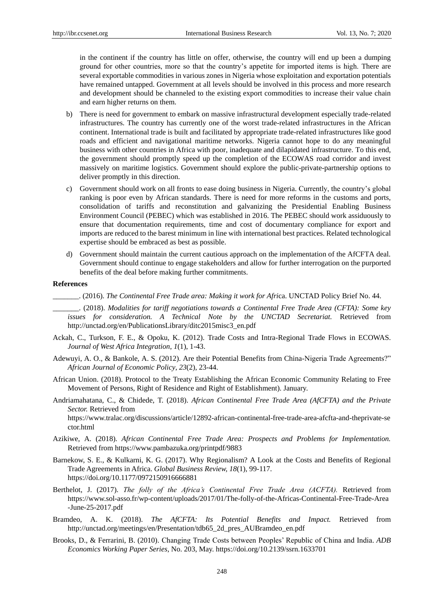in the continent if the country has little on offer, otherwise, the country will end up been a dumping ground for other countries, more so that the country"s appetite for imported items is high. There are several exportable commodities in various zones in Nigeria whose exploitation and exportation potentials have remained untapped. Government at all levels should be involved in this process and more research and development should be channeled to the existing export commodities to increase their value chain and earn higher returns on them.

- b) There is need for government to embark on massive infrastructural development especially trade-related infrastructures. The country has currently one of the worst trade-related infrastructures in the African continent. International trade is built and facilitated by appropriate trade-related infrastructures like good roads and efficient and navigational maritime networks. Nigeria cannot hope to do any meaningful business with other countries in Africa with poor, inadequate and dilapidated infrastructure. To this end, the government should promptly speed up the completion of the ECOWAS road corridor and invest massively on maritime logistics. Government should explore the public-private-partnership options to deliver promptly in this direction.
- c) Government should work on all fronts to ease doing business in Nigeria. Currently, the country"s global ranking is poor even by African standards. There is need for more reforms in the customs and ports, consolidation of tariffs and reconstitution and galvanizing the Presidential Enabling Business Environment Council (PEBEC) which was established in 2016. The PEBEC should work assiduously to ensure that documentation requirements, time and cost of documentary compliance for export and imports are reduced to the barest minimum in line with international best practices. Related technological expertise should be embraced as best as possible.
- d) Government should maintain the current cautious approach on the implementation of the AfCFTA deal. Government should continue to engage stakeholders and allow for further interrogation on the purported benefits of the deal before making further commitments.

#### **References**

\_\_\_\_\_\_\_. (2016). *The Continental Free Trade area: Making it work for Afri*ca. UNCTAD Policy Brief No. 44.

\_\_\_\_\_\_\_. (2018). *Modalities for tariff negotiations towards a Continental Free Trade Area (CFTA): Some key issues for consideration. A Technical Note by the UNCTAD Secretariat.* Retrieved from [http://unctad.org/en/PublicationsLibrary/ditc2015misc3\\_en.pdf](http://unctad.org/en/PublicationsLibrary/ditc2015misc3_en.pdf)

- Ackah, C., Turkson, F. E., & Opoku, K. (2012). Trade Costs and Intra-Regional Trade Flows in ECOWAS. *Journal of West Africa Integration*, *1*(1), 1-43.
- Adewuyi, A. O., & Bankole, A. S. (2012). Are their Potential Benefits from China-Nigeria Trade Agreements?" *African Journal of Economic Policy*, *23*(2), 23-44.
- African Union. (2018). Protocol to the Treaty Establishing the African Economic Community Relating to Free Movement of Persons, Right of Residence and Right of Establishment). January.
- Andriamahatana, C., & Chidede, T. (2018). *African Continental Free Trade Area (AfCFTA) and the Private Sector.* Retrieved from

https://www.tralac.org/discussions/article/12892-african-continental-free-trade-area-afcfta-and-theprivate-se ctor.html

- Azikiwe, A. (2018). *African Continental Free Trade Area: Prospects and Problems for Implementation.*  Retrieved from https://www.pambazuka.org/printpdf/9883
- Barnekow, S. E., & Kulkarni, K. G. (2017). Why Regionalism? A Look at the Costs and Benefits of Regional Trade Agreements in Africa. *Global Business Review, 18*(1), 99-117. https://doi.org/10.1177/0972150916666881
- Berthelot, J. (2017). *The folly of the Africa's Continental Free Trade Area (ACFTA).* Retrieved from https://www.sol-asso.fr/wp-content/uploads/2017/01/The-folly-of-the-Africas-Continental-Free-Trade-Area -June-25-2017.pdf
- Bramdeo, A. K. (2018). *The AfCFTA: Its Potential Benefits and Impact.* Retrieved from http://unctad.org/meetings/en/Presentation/tdb65\_2d\_pres\_AUBramdeo\_en.pdf
- Brooks, D., & Ferrarini, B. (2010). Changing Trade Costs between Peoples" Republic of China and India. *ADB Economics Working Paper Series*, No. 203, May. https://doi.org/10.2139/ssrn.1633701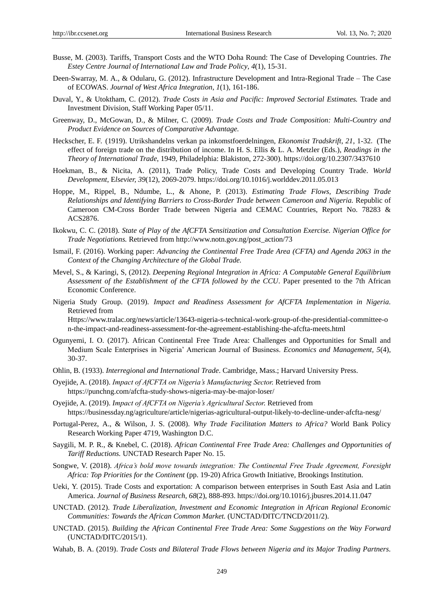- Busse, M. (2003). Tariffs, Transport Costs and the WTO Doha Round: The Case of Developing Countries. *The Estey Centre Journal of International Law and Trade Policy*, *4*(1), 15-31.
- Deen-Swarray, M. A., & Odularu, G. (2012). Infrastructure Development and Intra-Regional Trade The Case of ECOWAS. *Journal of West Africa Integration*, *1*(1), 161-186.
- Duval, Y., & Utoktham, C. (2012). *Trade Costs in Asia and Pacific: Improved Sectorial Estimates.* Trade and Investment Division, Staff Working Paper 05/11.
- Greenway, D., McGowan, D., & Milner, C. (2009). *Trade Costs and Trade Composition: Multi-Country and Product Evidence on Sources of Comparative Advantage.*
- Heckscher, E. F. (1919). Utrikshandelns verkan pa inkomstfoerdelningen, *Ekonomist Tradskrift*, *21*, 1-32. (The effect of foreign trade on the distribution of income. In H. S. Ellis & L. A. Metzler (Eds.), *Readings in the Theory of International Trade*, 1949, Philadelphia: Blakiston, 272-300). https://doi.org/10.2307/3437610
- Hoekman, B., & Nicita, A. (2011), Trade Policy, Trade Costs and Developing Country Trade. *World Development*, E*lsevier, 39*(12), 2069-2079. https://doi.org/10.1016/j.worlddev.2011.05.013
- Hoppe, M., Rippel, B., Ndumbe, L., & Ahone, P. (2013). *Estimating Trade Flows, Describing Trade Relationships and Identifying Barriers to Cross-Border Trade between Cameroon and Nigeria.* Republic of Cameroon CM-Cross Border Trade between Nigeria and CEMAC Countries, Report No. 78283 & ACS2876.
- Ikokwu, C. C. (2018). *State of Play of the AfCFTA Sensitization and Consultation Exercise. Nigerian Office for Trade Negotiations.* Retrieved from http://www.notn.gov.ng/post\_action/73
- Ismail, F. (2016). Working paper: *Advancing the Continental Free Trade Area (CFTA) and Agenda 2063 in the Context of the Changing Architecture of the Global Trade.*
- Mevel, S., & Karingi, S, (2012). *Deepening Regional Integration in Africa: A Computable General Equilibrium Assessment of the Establishment of the CFTA followed by the CCU*. Paper presented to the 7th African Economic Conference.
- Nigeria Study Group. (2019). *Impact and Readiness Assessment for AfCFTA Implementation in Nigeria.* Retrieved from Https://www.tralac.org/news/article/13643-nigeria-s-technical-work-group-of-the-presidential-committee-o

n-the-impact-and-readiness-assessment-for-the-agreement-establishing-the-afcfta-meets.html

- Ogunyemi, I. O. (2017). African Continental Free Trade Area: Challenges and Opportunities for Small and Medium Scale Enterprises in Nigeria" American Journal of Business. *Economics and Management, 5*(4), 30-37.
- Ohlin, B. (1933). *Interregional and International Trade*. Cambridge, Mass.; Harvard University Press.
- Oyejide, A. (2018). *Impact of AfCFTA on Nigeria's Manufacturing Sector.* Retrieved from https://punchng.com/afcfta-study-shows-nigeria-may-be-major-loser/
- Oyejide, A. (2019). *Impact of AfCFTA on Nigeria's Agricultural Sector.* Retrieved from https://businessday.ng/agriculture/article/nigerias-agricultural-output-likely-to-decline-under-afcfta-nesg/
- Portugal-Perez, A., & Wilson, J. S. (2008). *Why Trade Facilitation Matters to Africa?* World Bank Policy Research Working Paper 4719, Washington D.C.
- Saygili, M. P. R., & Knebel, C. (2018). *African Continental Free Trade Area: Challenges and Opportunities of Tariff Reductions.* UNCTAD Research Paper No. 15.
- Songwe, V. (2018). *Africa's bold move towards integration: The Continental Free Trade Agreement, Foresight Africa: Top Priorities for the Continent* (pp. 19-20) Africa Growth Initiative, Brookings Institution.
- Ueki, Y. (2015). Trade Costs and exportation: A comparison between enterprises in South East Asia and Latin America. *Journal of Business Research*, *68*(2), 888-893. https://doi.org/10.1016/j.jbusres.2014.11.047
- UNCTAD. (2012). *Trade Liberalization, Investment and Economic Integration in African Regional Economic Communities: Towards the African Common Market.* (UNCTAD/DITC/TNCD/2011/2).
- UNCTAD. (2015). *Building the African Continental Free Trade Area: Some Suggestions on the Way Forward*  (UNCTAD/DITC/2015/1).
- Wahab, B. A. (2019). *Trade Costs and Bilateral Trade Flows between Nigeria and its Major Trading Partners.*